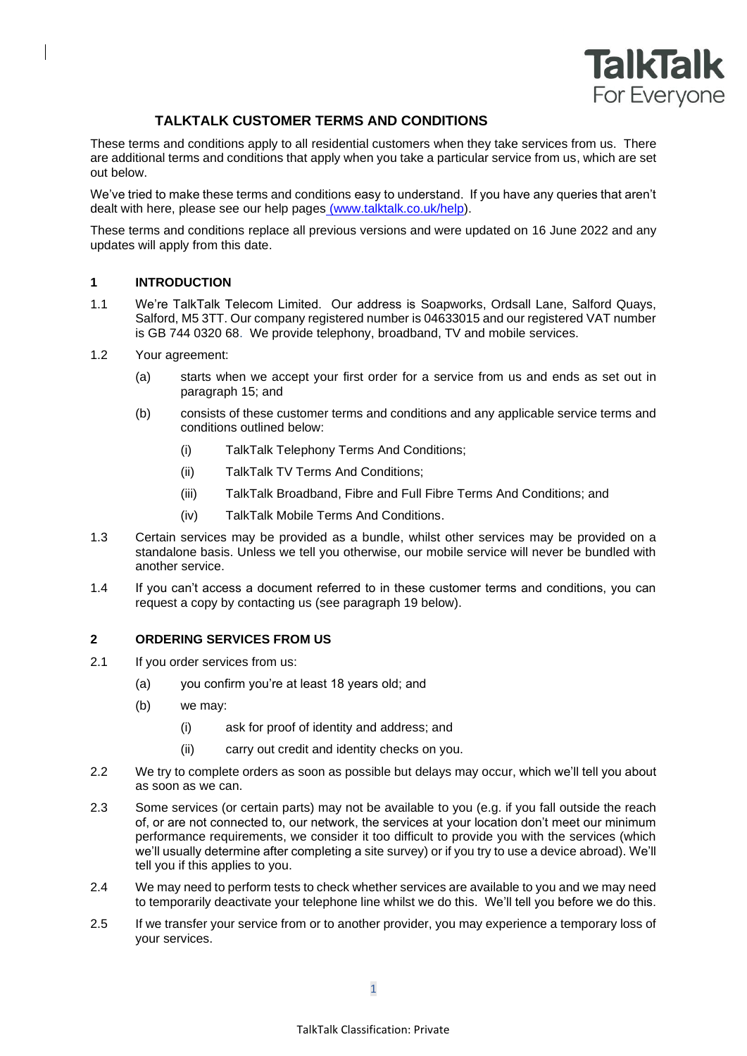

# **TALKTALK CUSTOMER TERMS AND CONDITIONS**

These terms and conditions apply to all residential customers when they take services from us. There are additional terms and conditions that apply when you take a particular service from us, which are set out below.

We've tried to make these terms and conditions easy to understand. If you have any queries that aren't dealt with here, please see our help pages [\(www.talktalk.co.uk/help\)](http://www.talktalk.co.uk/help).

These terms and conditions replace all previous versions and were updated on 16 June 2022 and any updates will apply from this date.

## **1 INTRODUCTION**

- 1.1 We're TalkTalk Telecom Limited. Our address is Soapworks, Ordsall Lane, Salford Quays, Salford, M5 3TT. Our company registered number is 04633015 and our registered VAT number is GB 744 0320 68. We provide telephony, broadband, TV and mobile services.
- 1.2 Your agreement:
	- (a) starts when we accept your first order for a service from us and ends as set out in paragraph [15;](#page-7-0) and
	- (b) consists of these customer terms and conditions and any applicable service terms and conditions outlined below:
		- (i) TalkTalk Telephony Terms And Conditions;
		- (ii) TalkTalk TV Terms And Conditions;
		- (iii) TalkTalk Broadband, Fibre and Full Fibre Terms And Conditions; and
		- (iv) TalkTalk Mobile Terms And Conditions.
- 1.3 Certain services may be provided as a bundle, whilst other services may be provided on a standalone basis. Unless we tell you otherwise, our mobile service will never be bundled with another service.
- 1.4 If you can't access a document referred to in these customer terms and conditions, you can request a copy by contacting us (see paragraph 19 below).

### **2 ORDERING SERVICES FROM US**

- 2.1 If you order services from us:
	- (a) you confirm you're at least 18 years old; and
	- (b) we may:
		- (i) ask for proof of identity and address; and
		- (ii) carry out credit and identity checks on you.
- 2.2 We try to complete orders as soon as possible but delays may occur, which we'll tell you about as soon as we can.
- 2.3 Some services (or certain parts) may not be available to you (e.g. if you fall outside the reach of, or are not connected to, our network, the services at your location don't meet our minimum performance requirements, we consider it too difficult to provide you with the services (which we'll usually determine after completing a site survey) or if you try to use a device abroad). We'll tell you if this applies to you.
- 2.4 We may need to perform tests to check whether services are available to you and we may need to temporarily deactivate your telephone line whilst we do this. We'll tell you before we do this.
- 2.5 If we transfer your service from or to another provider, you may experience a temporary loss of your services.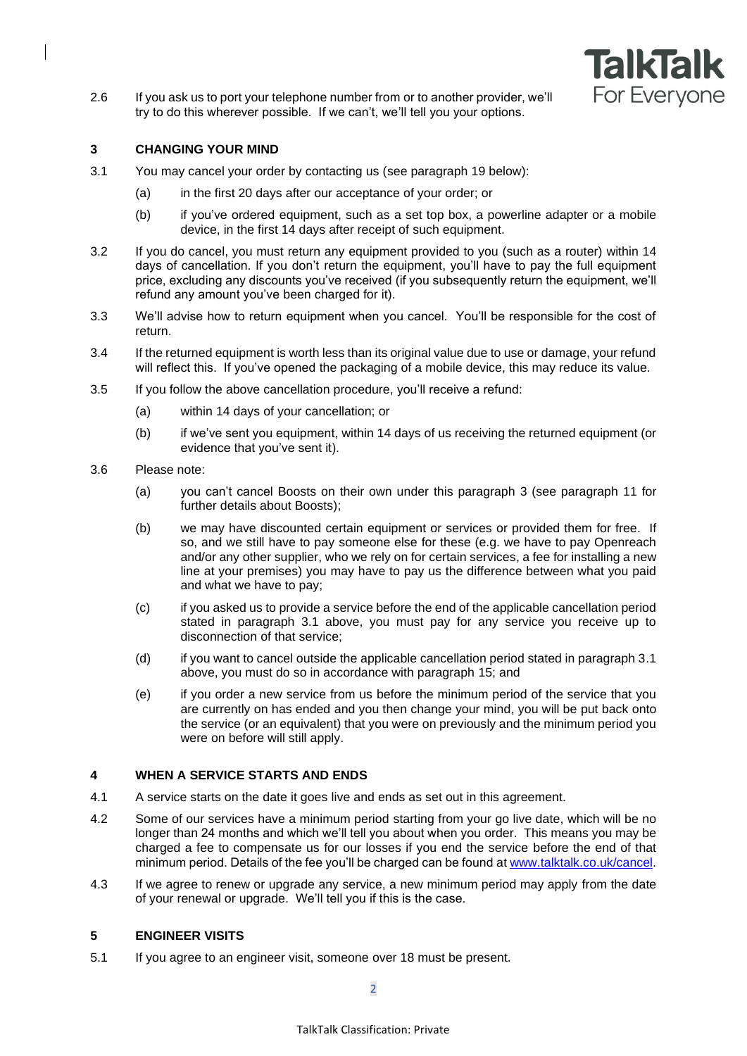

2.6 If you ask us to port your telephone number from or to another provider, we'll try to do this wherever possible. If we can't, we'll tell you your options.

## <span id="page-1-0"></span>**3 CHANGING YOUR MIND**

- 3.1 You may cancel your order by contacting us (see paragraph 19 below):
	- (a) in the first 20 days after our acceptance of your order; or
	- (b) if you've ordered equipment, such as a set top box, a powerline adapter or a mobile device, in the first 14 days after receipt of such equipment.
- 3.2 If you do cancel, you must return any equipment provided to you (such as a router) within 14 days of cancellation. If you don't return the equipment, you'll have to pay the full equipment price, excluding any discounts you've received (if you subsequently return the equipment, we'll refund any amount you've been charged for it).
- 3.3 We'll advise how to return equipment when you cancel. You'll be responsible for the cost of return.
- 3.4 If the returned equipment is worth less than its original value due to use or damage, your refund will reflect this. If you've opened the packaging of a mobile device, this may reduce its value.
- 3.5 If you follow the above cancellation procedure, you'll receive a refund:
	- (a) within 14 days of your cancellation; or
	- (b) if we've sent you equipment, within 14 days of us receiving the returned equipment (or evidence that you've sent it).
- 3.6 Please note:
	- (a) you can't cancel Boosts on their own under this paragraph [3](#page-1-0) (see paragraph [11](#page-5-0) for further details about Boosts);
	- (b) we may have discounted certain equipment or services or provided them for free. If so, and we still have to pay someone else for these (e.g. we have to pay Openreach and/or any other supplier, who we rely on for certain services, a fee for installing a new line at your premises) you may have to pay us the difference between what you paid and what we have to pay;
	- (c) if you asked us to provide a service before the end of the applicable cancellation period stated in paragraph 3.1 above, you must pay for any service you receive up to disconnection of that service;
	- (d) if you want to cancel outside the applicable cancellation period stated in paragraph 3.1 above, you must do so in accordance with paragraph [15;](#page-7-0) and
	- (e) if you order a new service from us before the minimum period of the service that you are currently on has ended and you then change your mind, you will be put back onto the service (or an equivalent) that you were on previously and the minimum period you were on before will still apply.

## **4 WHEN A SERVICE STARTS AND ENDS**

- 4.1 A service starts on the date it goes live and ends as set out in this agreement.
- <span id="page-1-1"></span>4.2 Some of our services have a minimum period starting from your go live date, which will be no longer than 24 months and which we'll tell you about when you order. This means you may be charged a fee to compensate us for our losses if you end the service before the end of that minimum period. Details of the fee you'll be charged can be found a[t www.talktalk.co.uk/cancel.](http://www.talktalk.co.uk/cancel)
- 4.3 If we agree to renew or upgrade any service, a new minimum period may apply from the date of your renewal or upgrade. We'll tell you if this is the case.

## **5 ENGINEER VISITS**

5.1 If you agree to an engineer visit, someone over 18 must be present.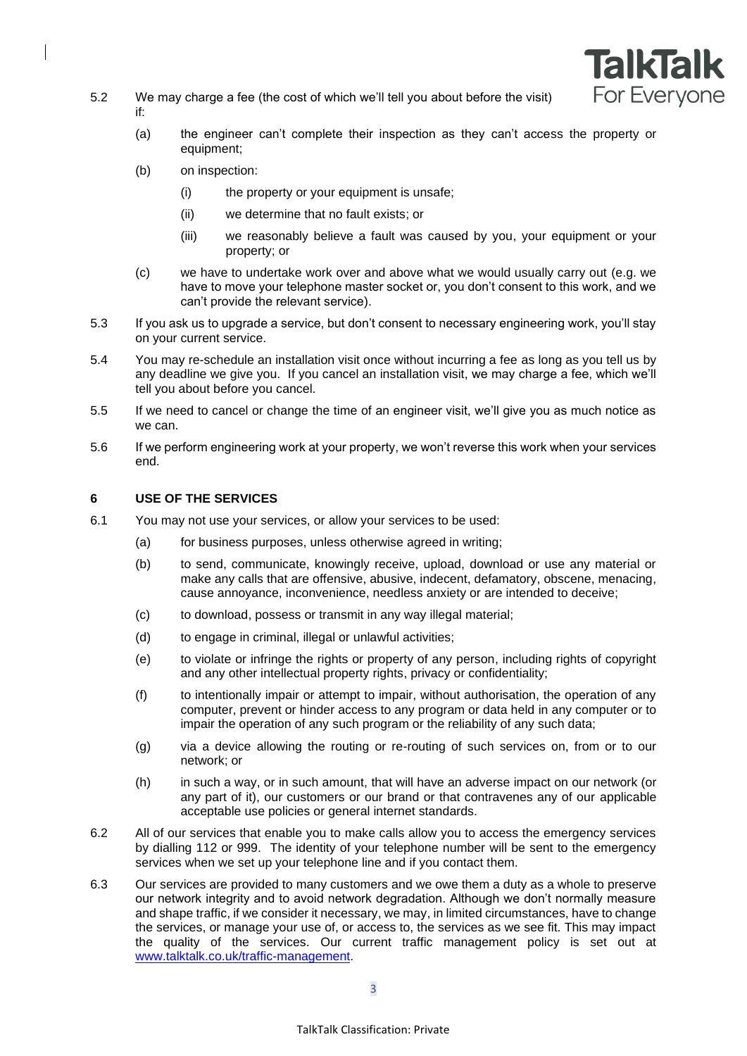

- 5.2 We may charge a fee (the cost of which we'll tell you about before the visit) if:
	- (a) the engineer can't complete their inspection as they can't access the property or equipment;
	- (b) on inspection:
		- (i) the property or your equipment is unsafe;
		- (ii) we determine that no fault exists; or
		- (iii) we reasonably believe a fault was caused by you, your equipment or your property; or
	- (c) we have to undertake work over and above what we would usually carry out (e.g. we have to move your telephone master socket or, you don't consent to this work, and we can't provide the relevant service).
- 5.3 If you ask us to upgrade a service, but don't consent to necessary engineering work, you'll stay on your current service.
- 5.4 You may re-schedule an installation visit once without incurring a fee as long as you tell us by any deadline we give you. If you cancel an installation visit, we may charge a fee, which we'll tell you about before you cancel.
- 5.5 If we need to cancel or change the time of an engineer visit, we'll give you as much notice as we can.
- 5.6 If we perform engineering work at your property, we won't reverse this work when your services end.

## **6 USE OF THE SERVICES**

- <span id="page-2-0"></span>6.1 You may not use your services, or allow your services to be used:
	- (a) for business purposes, unless otherwise agreed in writing;
	- (b) to send, communicate, knowingly receive, upload, download or use any material or make any calls that are offensive, abusive, indecent, defamatory, obscene, menacing, cause annoyance, inconvenience, needless anxiety or are intended to deceive;
	- (c) to download, possess or transmit in any way illegal material;
	- (d) to engage in criminal, illegal or unlawful activities;
	- (e) to violate or infringe the rights or property of any person, including rights of copyright and any other intellectual property rights, privacy or confidentiality;
	- (f) to intentionally impair or attempt to impair, without authorisation, the operation of any computer, prevent or hinder access to any program or data held in any computer or to impair the operation of any such program or the reliability of any such data;
	- (g) via a device allowing the routing or re-routing of such services on, from or to our network; or
	- (h) in such a way, or in such amount, that will have an adverse impact on our network (or any part of it), our customers or our brand or that contravenes any of our applicable acceptable use policies or general internet standards.
- 6.2 All of our services that enable you to make calls allow you to access the emergency services by dialling 112 or 999. The identity of your telephone number will be sent to the emergency services when we set up your telephone line and if you contact them.
- 6.3 Our services are provided to many customers and we owe them a duty as a whole to preserve our network integrity and to avoid network degradation. Although we don't normally measure and shape traffic, if we consider it necessary, we may, in limited circumstances, have to change the services, or manage your use of, or access to, the services as we see fit. This may impact the quality of the services. Our current traffic management policy is set out at [www.talktalk.co.uk/traffic-management.](http://www.talktalk.co.uk/traffic-management)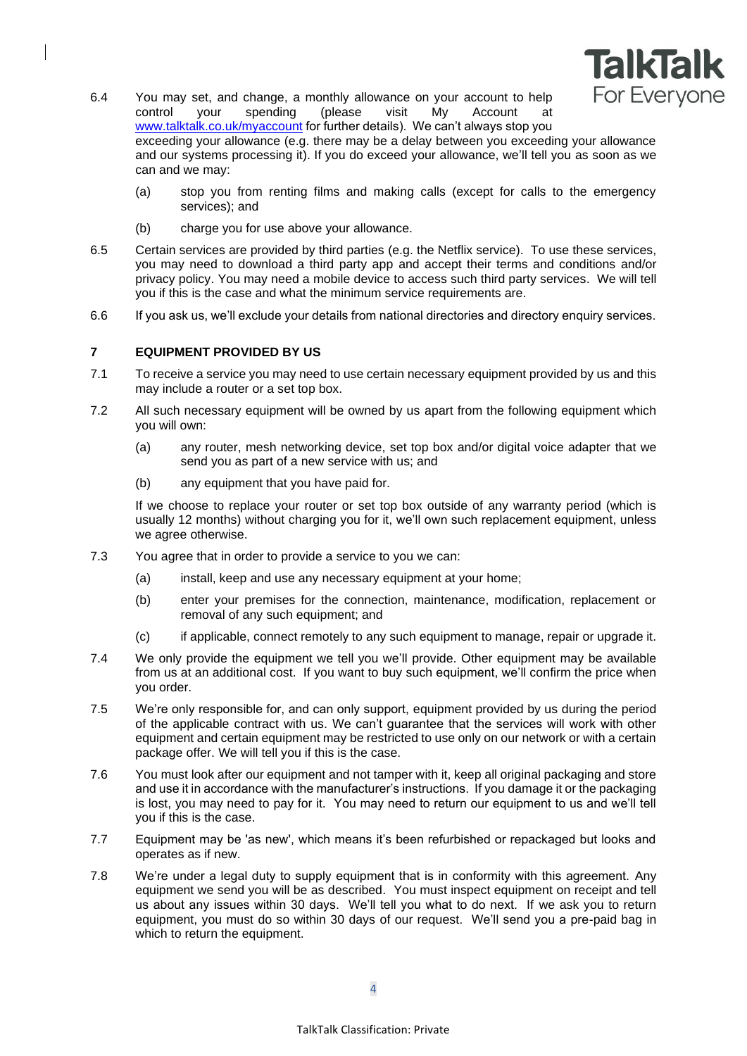

- 6.4 You may set, and change, a monthly allowance on your account to help control your spending (please visit My Account at [www.talktalk.co.uk/myaccount](http://www.talktalk.co.uk/myaccount) for further details). We can't always stop you exceeding your allowance (e.g. there may be a delay between you exceeding your allowance and our systems processing it). If you do exceed your allowance, we'll tell you as soon as we can and we may:
	- (a) stop you from renting films and making calls (except for calls to the emergency services); and
	- (b) charge you for use above your allowance.
- 6.5 Certain services are provided by third parties (e.g. the Netflix service). To use these services, you may need to download a third party app and accept their terms and conditions and/or privacy policy. You may need a mobile device to access such third party services. We will tell you if this is the case and what the minimum service requirements are.
- 6.6 If you ask us, we'll exclude your details from national directories and directory enquiry services.

## **7 EQUIPMENT PROVIDED BY US**

- 7.1 To receive a service you may need to use certain necessary equipment provided by us and this may include a router or a set top box.
- 7.2 All such necessary equipment will be owned by us apart from the following equipment which you will own:
	- (a) any router, mesh networking device, set top box and/or digital voice adapter that we send you as part of a new service with us; and
	- (b) any equipment that you have paid for.

If we choose to replace your router or set top box outside of any warranty period (which is usually 12 months) without charging you for it, we'll own such replacement equipment, unless we agree otherwise.

- 7.3 You agree that in order to provide a service to you we can:
	- (a) install, keep and use any necessary equipment at your home;
	- (b) enter your premises for the connection, maintenance, modification, replacement or removal of any such equipment; and
	- (c) if applicable, connect remotely to any such equipment to manage, repair or upgrade it.
- 7.4 We only provide the equipment we tell you we'll provide. Other equipment may be available from us at an additional cost. If you want to buy such equipment, we'll confirm the price when you order.
- 7.5 We're only responsible for, and can only support, equipment provided by us during the period of the applicable contract with us. We can't guarantee that the services will work with other equipment and certain equipment may be restricted to use only on our network or with a certain package offer. We will tell you if this is the case.
- 7.6 You must look after our equipment and not tamper with it, keep all original packaging and store and use it in accordance with the manufacturer's instructions. If you damage it or the packaging is lost, you may need to pay for it. You may need to return our equipment to us and we'll tell you if this is the case.
- 7.7 Equipment may be 'as new', which means it's been refurbished or repackaged but looks and operates as if new.
- 7.8 We're under a legal duty to supply equipment that is in conformity with this agreement. Any equipment we send you will be as described. You must inspect equipment on receipt and tell us about any issues within 30 days. We'll tell you what to do next. If we ask you to return equipment, you must do so within 30 days of our request. We'll send you a pre-paid bag in which to return the equipment.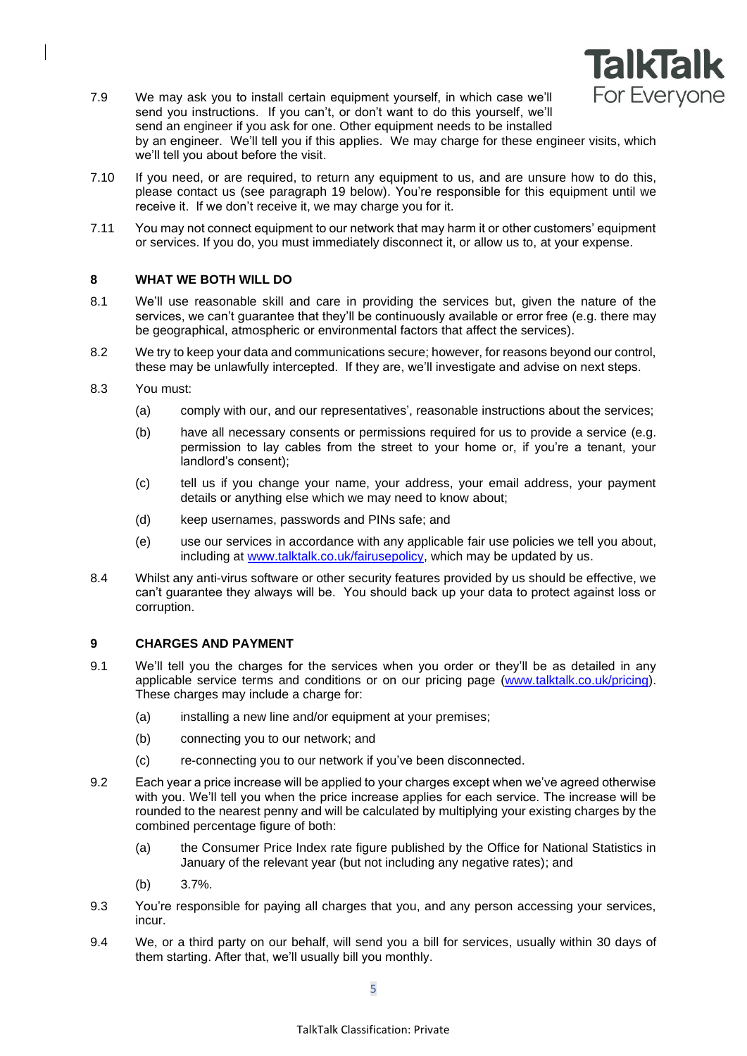

- 7.9 We may ask you to install certain equipment yourself, in which case we'll send you instructions. If you can't, or don't want to do this yourself, we'll send an engineer if you ask for one. Other equipment needs to be installed by an engineer. We'll tell you if this applies. We may charge for these engineer visits, which we'll tell you about before the visit.
- 7.10 If you need, or are required, to return any equipment to us, and are unsure how to do this, please contact us (see paragraph 19 below). You're responsible for this equipment until we receive it. If we don't receive it, we may charge you for it.
- 7.11 You may not connect equipment to our network that may harm it or other customers' equipment or services. If you do, you must immediately disconnect it, or allow us to, at your expense.

## **8 WHAT WE BOTH WILL DO**

- 8.1 We'll use reasonable skill and care in providing the services but, given the nature of the services, we can't guarantee that they'll be continuously available or error free (e.g. there may be geographical, atmospheric or environmental factors that affect the services).
- 8.2 We try to keep your data and communications secure; however, for reasons beyond our control, these may be unlawfully intercepted. If they are, we'll investigate and advise on next steps.
- 8.3 You must:
	- (a) comply with our, and our representatives', reasonable instructions about the services;
	- (b) have all necessary consents or permissions required for us to provide a service (e.g. permission to lay cables from the street to your home or, if you're a tenant, your landlord's consent);
	- (c) tell us if you change your name, your address, your email address, your payment details or anything else which we may need to know about;
	- (d) keep usernames, passwords and PINs safe; and
	- (e) use our services in accordance with any applicable fair use policies we tell you about, including at [www.talktalk.co.uk/fairusepolicy,](http://www.talktalk.co.uk/fairusepolicy) which may be updated by us.
- 8.4 Whilst any anti-virus software or other security features provided by us should be effective, we can't guarantee they always will be. You should back up your data to protect against loss or corruption.

### **9 CHARGES AND PAYMENT**

- 9.1 We'll tell you the charges for the services when you order or they'll be as detailed in any applicable service terms and conditions or on our pricing page [\(www.talktalk.co.uk/pricing\)](http://www.talktalk.co.uk/pricing). These charges may include a charge for:
	- (a) installing a new line and/or equipment at your premises;
	- (b) connecting you to our network; and
	- (c) re-connecting you to our network if you've been disconnected.
- 9.2 Each year a price increase will be applied to your charges except when we've agreed otherwise with you. We'll tell you when the price increase applies for each service. The increase will be rounded to the nearest penny and will be calculated by multiplying your existing charges by the combined percentage figure of both:
	- (a) the Consumer Price Index rate figure published by the Office for National Statistics in January of the relevant year (but not including any negative rates); and
	- (b) 3.7%.
- 9.3 You're responsible for paying all charges that you, and any person accessing your services, incur.
- 9.4 We, or a third party on our behalf, will send you a bill for services, usually within 30 days of them starting. After that, we'll usually bill you monthly.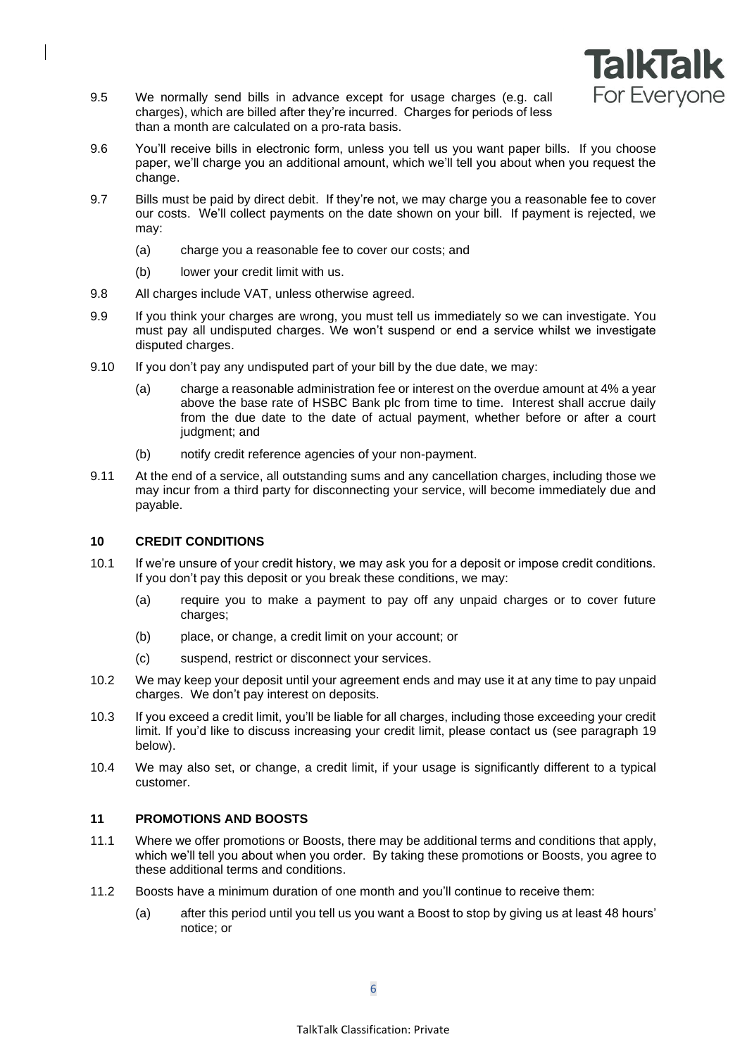

- 9.5 We normally send bills in advance except for usage charges (e.g. call charges), which are billed after they're incurred. Charges for periods of less than a month are calculated on a pro-rata basis.
- 9.6 You'll receive bills in electronic form, unless you tell us you want paper bills. If you choose paper, we'll charge you an additional amount, which we'll tell you about when you request the change.
- 9.7 Bills must be paid by direct debit. If they're not, we may charge you a reasonable fee to cover our costs. We'll collect payments on the date shown on your bill. If payment is rejected, we may:
	- (a) charge you a reasonable fee to cover our costs; and
	- (b) lower your credit limit with us.
- 9.8 All charges include VAT, unless otherwise agreed.
- 9.9 If you think your charges are wrong, you must tell us immediately so we can investigate. You must pay all undisputed charges. We won't suspend or end a service whilst we investigate disputed charges.
- 9.10 If you don't pay any undisputed part of your bill by the due date, we may:
	- (a) charge a reasonable administration fee or interest on the overdue amount at 4% a year above the base rate of HSBC Bank plc from time to time. Interest shall accrue daily from the due date to the date of actual payment, whether before or after a court judgment; and
	- (b) notify credit reference agencies of your non-payment.
- 9.11 At the end of a service, all outstanding sums and any cancellation charges, including those we may incur from a third party for disconnecting your service, will become immediately due and payable.

## **10 CREDIT CONDITIONS**

- 10.1 If we're unsure of your credit history, we may ask you for a deposit or impose credit conditions. If you don't pay this deposit or you break these conditions, we may:
	- (a) require you to make a payment to pay off any unpaid charges or to cover future charges;
	- (b) place, or change, a credit limit on your account; or
	- (c) suspend, restrict or disconnect your services.
- 10.2 We may keep your deposit until your agreement ends and may use it at any time to pay unpaid charges. We don't pay interest on deposits.
- 10.3 If you exceed a credit limit, you'll be liable for all charges, including those exceeding your credit limit. If you'd like to discuss increasing your credit limit, please contact us (see paragraph 19 below).
- 10.4 We may also set, or change, a credit limit, if your usage is significantly different to a typical customer.

## <span id="page-5-0"></span>**11 PROMOTIONS AND BOOSTS**

- 11.1 Where we offer promotions or Boosts, there may be additional terms and conditions that apply, which we'll tell you about when you order. By taking these promotions or Boosts, you agree to these additional terms and conditions.
- 11.2 Boosts have a minimum duration of one month and you'll continue to receive them:
	- (a) after this period until you tell us you want a Boost to stop by giving us at least 48 hours' notice; or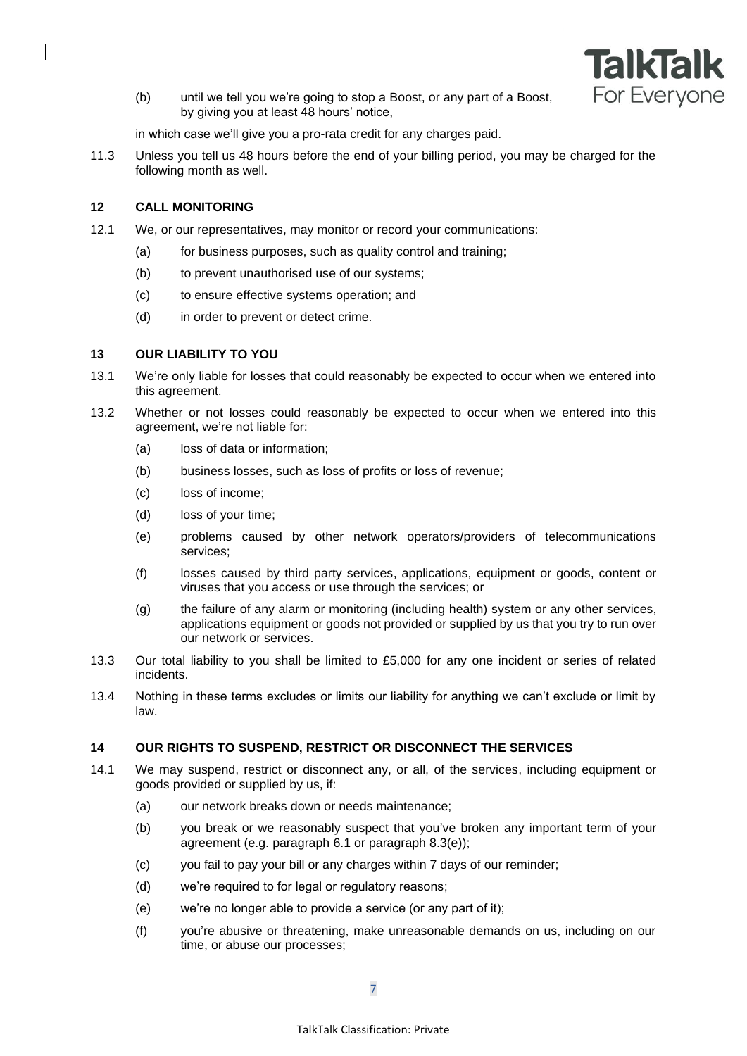

(b) until we tell you we're going to stop a Boost, or any part of a Boost, by giving you at least 48 hours' notice,

in which case we'll give you a pro-rata credit for any charges paid.

11.3 Unless you tell us 48 hours before the end of your billing period, you may be charged for the following month as well.

## **12 CALL MONITORING**

- 12.1 We, or our representatives, may monitor or record your communications:
	- (a) for business purposes, such as quality control and training;
	- (b) to prevent unauthorised use of our systems;
	- (c) to ensure effective systems operation; and
	- (d) in order to prevent or detect crime.

## **13 OUR LIABILITY TO YOU**

- 13.1 We're only liable for losses that could reasonably be expected to occur when we entered into this agreement.
- 13.2 Whether or not losses could reasonably be expected to occur when we entered into this agreement, we're not liable for:
	- (a) loss of data or information;
	- (b) business losses, such as loss of profits or loss of revenue;
	- (c) loss of income;
	- (d) loss of your time;
	- (e) problems caused by other network operators/providers of telecommunications services;
	- (f) losses caused by third party services, applications, equipment or goods, content or viruses that you access or use through the services; or
	- (g) the failure of any alarm or monitoring (including health) system or any other services, applications equipment or goods not provided or supplied by us that you try to run over our network or services.
- 13.3 Our total liability to you shall be limited to £5,000 for any one incident or series of related incidents.
- 13.4 Nothing in these terms excludes or limits our liability for anything we can't exclude or limit by law.

## **14 OUR RIGHTS TO SUSPEND, RESTRICT OR DISCONNECT THE SERVICES**

- <span id="page-6-5"></span><span id="page-6-4"></span><span id="page-6-3"></span><span id="page-6-2"></span><span id="page-6-1"></span><span id="page-6-0"></span>14.1 We may suspend, restrict or disconnect any, or all, of the services, including equipment or goods provided or supplied by us, if:
	- (a) our network breaks down or needs maintenance;
	- (b) you break or we reasonably suspect that you've broken any important term of your agreement (e.g. paragraph [6.1](#page-2-0) or paragraph 8.3(e));
	- (c) you fail to pay your bill or any charges within 7 days of our reminder;
	- (d) we're required to for legal or regulatory reasons;
	- (e) we're no longer able to provide a service (or any part of it);
	- (f) you're abusive or threatening, make unreasonable demands on us, including on our time, or abuse our processes;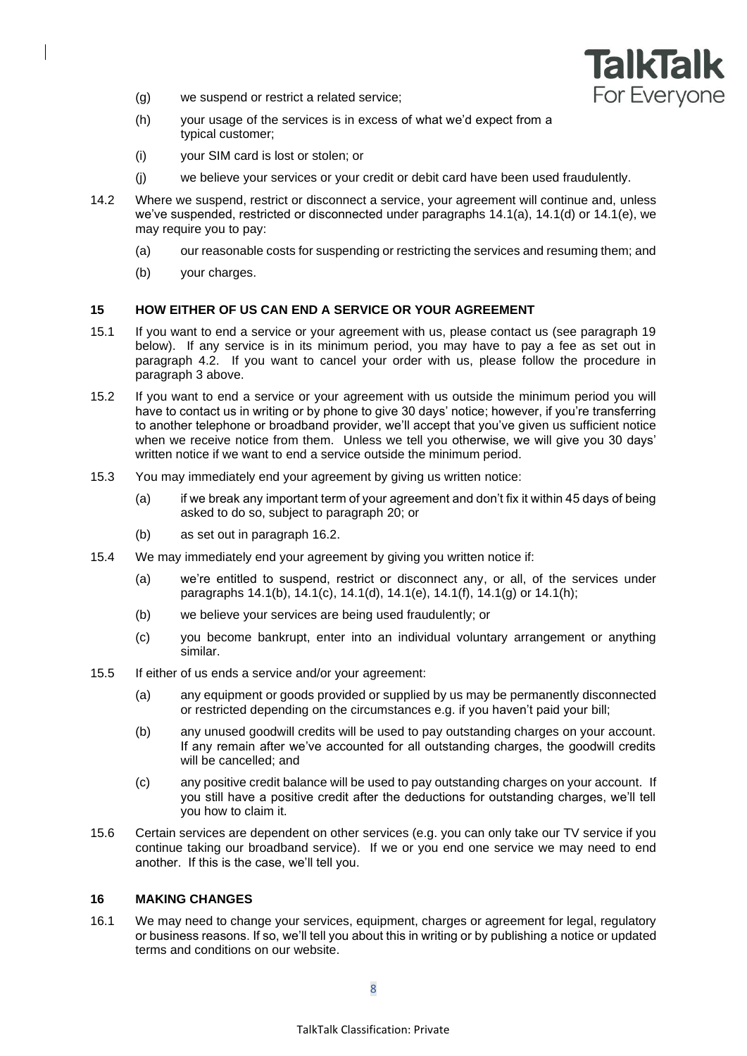

- <span id="page-7-1"></span>(g) we suspend or restrict a related service;
- <span id="page-7-2"></span>(h) your usage of the services is in excess of what we'd expect from a typical customer;
- (i) your SIM card is lost or stolen; or
- (j) we believe your services or your credit or debit card have been used fraudulently.
- 14.2 Where we suspend, restrict or disconnect a service, your agreement will continue and, unless we've suspended, restricted or disconnected under paragraphs [14.1\(a\),](#page-6-0) [14.1\(d\)](#page-6-1) or [14.1\(e\),](#page-6-2) we may require you to pay:
	- (a) our reasonable costs for suspending or restricting the services and resuming them; and
	- (b) your charges.

#### <span id="page-7-0"></span>**15 HOW EITHER OF US CAN END A SERVICE OR YOUR AGREEMENT**

- 15.1 If you want to end a service or your agreement with us, please contact us (see paragraph 19 below). If any service is in its minimum period, you may have to pay a fee as set out in paragraph [4.2.](#page-1-1) If you want to cancel your order with us, please follow the procedure in paragraph [3](#page-1-0) above.
- 15.2 If you want to end a service or your agreement with us outside the minimum period you will have to contact us in writing or by phone to give 30 days' notice; however, if you're transferring to another telephone or broadband provider, we'll accept that you've given us sufficient notice when we receive notice from them. Unless we tell you otherwise, we will give you 30 days' written notice if we want to end a service outside the minimum period.
- 15.3 You may immediately end your agreement by giving us written notice:
	- (a) if we break any important term of your agreement and don't fix it within 45 days of being asked to do so, subject to paragraph [20;](#page-8-0) or
	- (b) as set out in paragraph [16.2.](#page-8-1)
- 15.4 We may immediately end your agreement by giving you written notice if:
	- (a) we're entitled to suspend, restrict or disconnect any, or all, of the services under paragraphs [14.1\(b\),](#page-6-3) [14.1\(c\),](#page-6-4) [14.1\(d\),](#page-6-1) [14.1\(e\),](#page-6-2) [14.1\(f\),](#page-6-5) [14.1\(g\)](#page-7-1) or [14.1\(h\);](#page-7-2)
	- (b) we believe your services are being used fraudulently; or
	- (c) you become bankrupt, enter into an individual voluntary arrangement or anything similar.
- 15.5 If either of us ends a service and/or your agreement:
	- (a) any equipment or goods provided or supplied by us may be permanently disconnected or restricted depending on the circumstances e.g. if you haven't paid your bill;
	- (b) any unused goodwill credits will be used to pay outstanding charges on your account. If any remain after we've accounted for all outstanding charges, the goodwill credits will be cancelled; and
	- (c) any positive credit balance will be used to pay outstanding charges on your account. If you still have a positive credit after the deductions for outstanding charges, we'll tell you how to claim it.
- 15.6 Certain services are dependent on other services (e.g. you can only take our TV service if you continue taking our broadband service). If we or you end one service we may need to end another. If this is the case, we'll tell you.

### **16 MAKING CHANGES**

16.1 We may need to change your services, equipment, charges or agreement for legal, regulatory or business reasons. If so, we'll tell you about this in writing or by publishing a notice or updated terms and conditions on our website.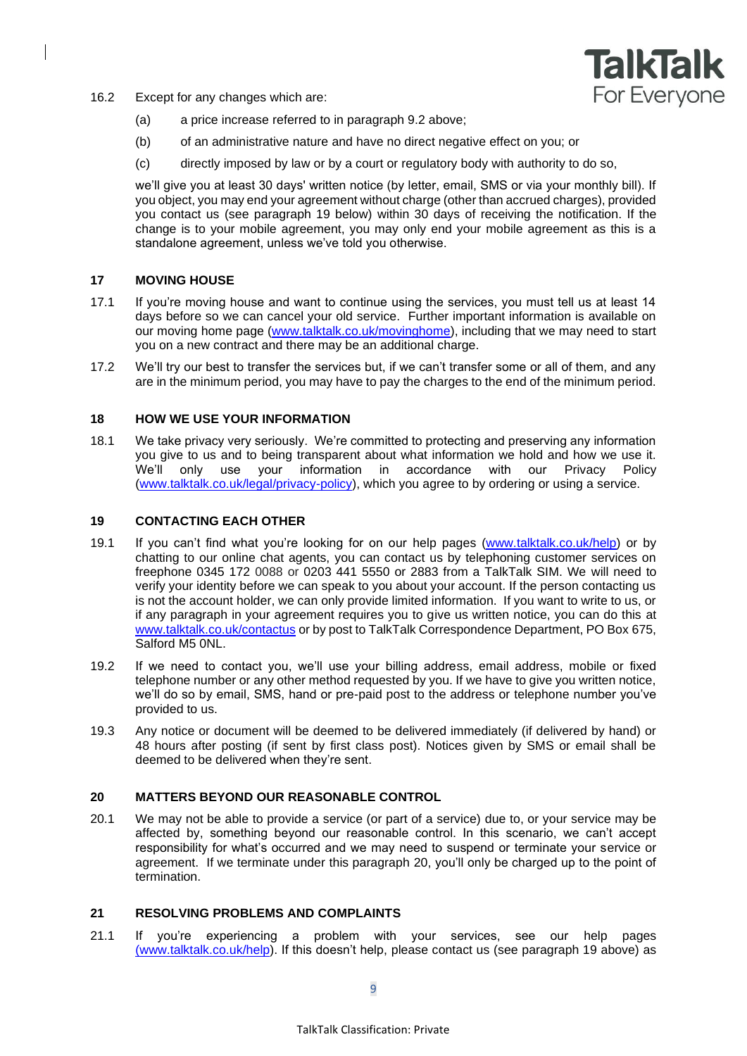

- <span id="page-8-1"></span>16.2 Except for any changes which are:
	- (a) a price increase referred to in paragraph 9.2 above;
	- (b) of an administrative nature and have no direct negative effect on you; or
	- (c) directly imposed by law or by a court or regulatory body with authority to do so,

we'll give you at least 30 days' written notice (by letter, email, SMS or via your monthly bill). If you object, you may end your agreement without charge (other than accrued charges), provided you contact us (see paragraph 19 below) within 30 days of receiving the notification. If the change is to your mobile agreement, you may only end your mobile agreement as this is a standalone agreement, unless we've told you otherwise.

### **17 MOVING HOUSE**

- 17.1 If you're moving house and want to continue using the services, you must tell us at least 14 days before so we can cancel your old service. Further important information is available on our [moving home page](http://help2.talktalk.co.uk/moving-home-talktalk-1#tabdisplay_1) [\(www.talktalk.co.uk/movinghome\)](http://www.talktalk.co.uk/movinghome), including that we may need to start you on a new contract and there may be an additional charge.
- 17.2 We'll try our best to transfer the services but, if we can't transfer some or all of them, and any are in the minimum period, you may have to pay the charges to the end of the minimum period.

### **18 HOW WE USE YOUR INFORMATION**

18.1 We take privacy very seriously. We're committed to protecting and preserving any information you give to us and to being transparent about what information we hold and how we use it. We'll only use your information in accordance with our Privacy Policy [\(www.talktalk.co.uk/legal/privacy-policy\)](http://www.talktalk.co.uk/legal/privacy-policy), which you agree to by ordering or using a service.

### <span id="page-8-2"></span>**19 CONTACTING EACH OTHER**

- 19.1 If you can't find what you're looking for on our help pages [\(www.talktalk.co.uk/help\)](http://www.talktalk.co.uk/help) or by chatting to our online chat agents, you can contact us by telephoning customer services on freephone 0345 172 0088 or 0203 441 5550 or 2883 from a TalkTalk SIM. We will need to verify your identity before we can speak to you about your account. If the person contacting us is not the account holder, we can only provide limited information. If you want to write to us, or if any paragraph in your agreement requires you to give us written notice, you can do this at [www.talktalk.co.uk/contactus](http://www.talktalk.co.uk/contactus) or by post to TalkTalk Correspondence Department, PO Box 675, Salford M5 0NL.
- 19.2 If we need to contact you, we'll use your billing address, email address, mobile or fixed telephone number or any other method requested by you. If we have to give you written notice, we'll do so by email, SMS, hand or pre-paid post to the address or telephone number you've provided to us.
- 19.3 Any notice or document will be deemed to be delivered immediately (if delivered by hand) or 48 hours after posting (if sent by first class post). Notices given by SMS or email shall be deemed to be delivered when they're sent.

#### <span id="page-8-0"></span>**20 MATTERS BEYOND OUR REASONABLE CONTROL**

20.1 We may not be able to provide a service (or part of a service) due to, or your service may be affected by, something beyond our reasonable control. In this scenario, we can't accept responsibility for what's occurred and we may need to suspend or terminate your service or agreement. If we terminate under this paragraph [20,](#page-8-0) you'll only be charged up to the point of termination.

### **21 RESOLVING PROBLEMS AND COMPLAINTS**

21.1 If you're experiencing a problem with your services, see our help pages [\(www.talktalk.co.uk/help\)](http://www.talktalk.co.uk/help). If this doesn't help, please contact us (see paragraph 19 above) as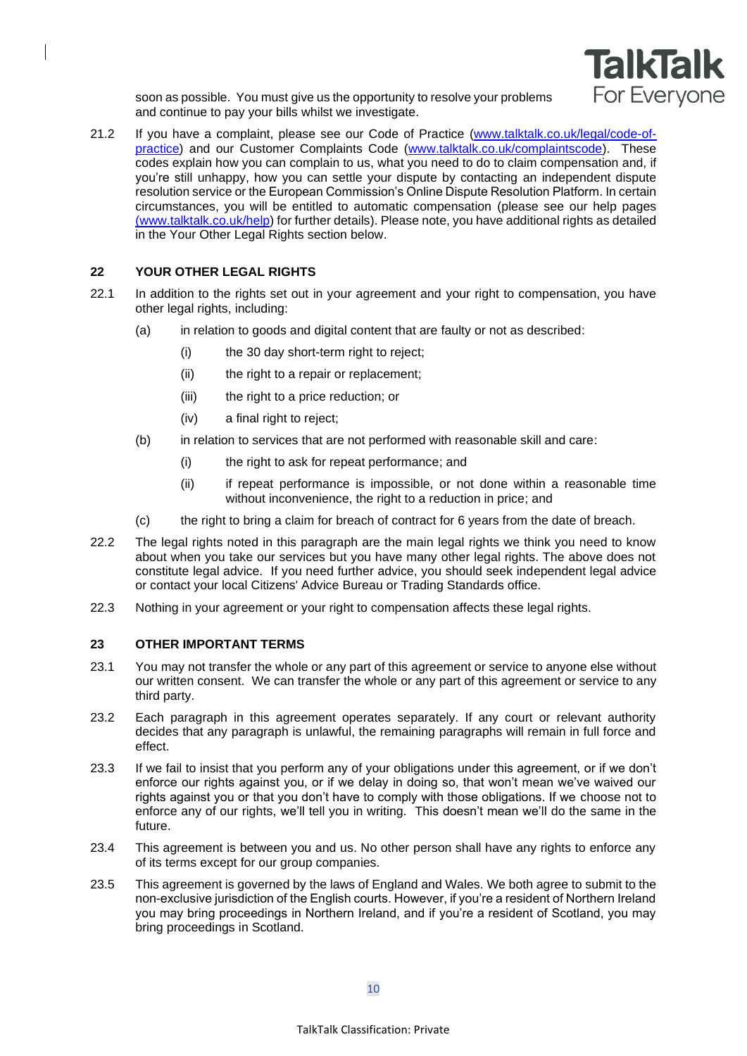

soon as possible. You must give us the opportunity to resolve your problems and continue to pay your bills whilst we investigate.

21.2 If you have a complaint, please see our Code of Practice [\(www.talktalk.co.uk/legal/code-of](http://www.talktalk.co.uk/legal/code-of-practice)[practice\)](http://www.talktalk.co.uk/legal/code-of-practice) and our Customer Complaints Code [\(www.talktalk.co.uk/complaintscode\)](http://www.talktalk.co.uk/complaintscode). These codes explain how you can complain to us, what you need to do to claim compensation and, if you're still unhappy, how you can settle your dispute by contacting an independent dispute resolution service or the European Commission's Online Dispute Resolution Platform. In certain circumstances, you will be entitled to automatic compensation (please see our help pages [\(www.talktalk.co.uk/help\)](http://www.talktalk.co.uk/help) for further details). Please note, you have additional rights as detailed in the Your Other Legal Rights section below.

### **22 YOUR OTHER LEGAL RIGHTS**

- 22.1 In addition to the rights set out in your agreement and your right to compensation, you have other legal rights, including:
	- (a) in relation to goods and digital content that are faulty or not as described:
		- (i) the 30 day short-term right to reject:
		- (ii) the right to a repair or replacement;
		- (iii) the right to a price reduction; or
		- (iv) a final right to reject;
	- (b) in relation to services that are not performed with reasonable skill and care:
		- (i) the right to ask for repeat performance; and
		- (ii) if repeat performance is impossible, or not done within a reasonable time without inconvenience, the right to a reduction in price; and
	- (c) the right to bring a claim for breach of contract for 6 years from the date of breach.
- 22.2 The legal rights noted in this paragraph are the main legal rights we think you need to know about when you take our services but you have many other legal rights. The above does not constitute legal advice. If you need further advice, you should seek independent legal advice or contact your local Citizens' Advice Bureau or Trading Standards office.
- 22.3 Nothing in your agreement or your right to compensation affects these legal rights.

#### **23 OTHER IMPORTANT TERMS**

- 23.1 You may not transfer the whole or any part of this agreement or service to anyone else without our written consent. We can transfer the whole or any part of this agreement or service to any third party.
- 23.2 Each paragraph in this agreement operates separately. If any court or relevant authority decides that any paragraph is unlawful, the remaining paragraphs will remain in full force and effect.
- 23.3 If we fail to insist that you perform any of your obligations under this agreement, or if we don't enforce our rights against you, or if we delay in doing so, that won't mean we've waived our rights against you or that you don't have to comply with those obligations. If we choose not to enforce any of our rights, we'll tell you in writing. This doesn't mean we'll do the same in the future.
- 23.4 This agreement is between you and us. No other person shall have any rights to enforce any of its terms except for our group companies.
- 23.5 This agreement is governed by the laws of England and Wales. We both agree to submit to the non-exclusive jurisdiction of the English courts. However, if you're a resident of Northern Ireland you may bring proceedings in Northern Ireland, and if you're a resident of Scotland, you may bring proceedings in Scotland.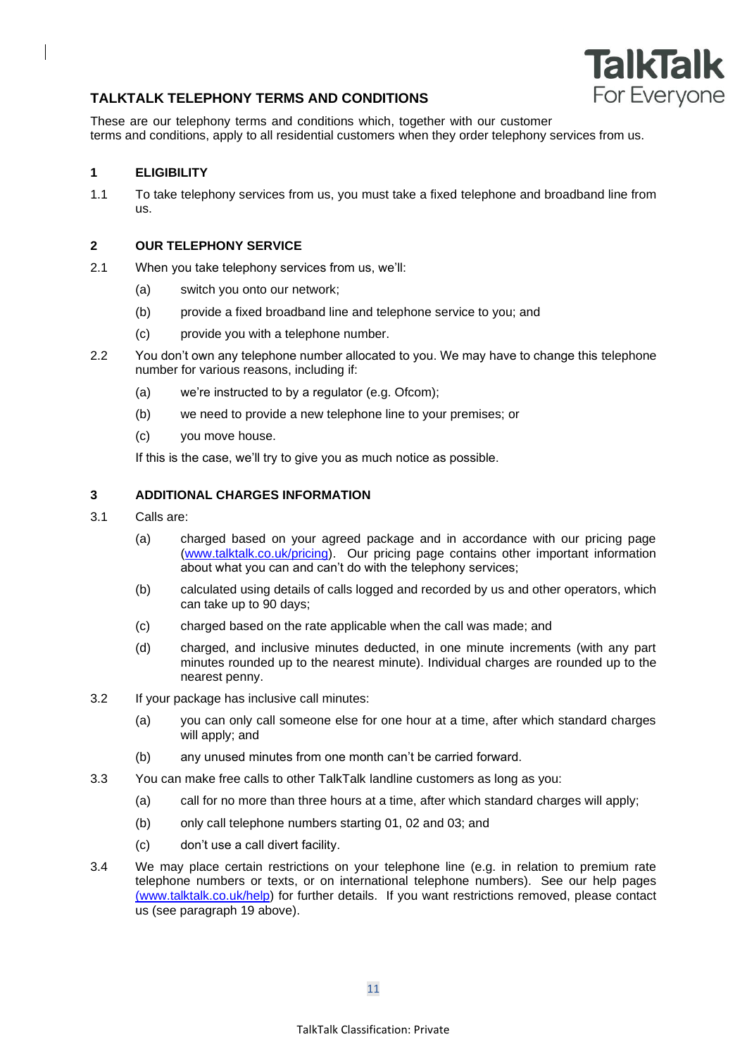

# **TALKTALK TELEPHONY TERMS AND CONDITIONS**

These are our telephony terms and conditions which, together with our customer terms and conditions, apply to all residential customers when they order telephony services from us.

## **1 ELIGIBILITY**

1.1 To take telephony services from us, you must take a fixed telephone and broadband line from us.

## **2 OUR TELEPHONY SERVICE**

- 2.1 When you take telephony services from us, we'll:
	- (a) switch you onto our network;
	- (b) provide a fixed broadband line and telephone service to you; and
	- (c) provide you with a telephone number.
- 2.2 You don't own any telephone number allocated to you. We may have to change this telephone number for various reasons, including if:
	- (a) we're instructed to by a regulator (e.g. Ofcom);
	- (b) we need to provide a new telephone line to your premises; or
	- (c) you move house.

If this is the case, we'll try to give you as much notice as possible.

## **3 ADDITIONAL CHARGES INFORMATION**

- 3.1 Calls are:
	- (a) charged based on your agreed package and in accordance with our pricing page [\(www.talktalk.co.uk/pricing\)](http://www.talktalk.co.uk/pricing). Our pricing page contains other important information about what you can and can't do with the telephony services;
	- (b) calculated using details of calls logged and recorded by us and other operators, which can take up to 90 days;
	- (c) charged based on the rate applicable when the call was made; and
	- (d) charged, and inclusive minutes deducted, in one minute increments (with any part minutes rounded up to the nearest minute). Individual charges are rounded up to the nearest penny.
- 3.2 If your package has inclusive call minutes:
	- (a) you can only call someone else for one hour at a time, after which standard charges will apply; and
	- (b) any unused minutes from one month can't be carried forward.
- 3.3 You can make free calls to other TalkTalk landline customers as long as you:
	- (a) call for no more than three hours at a time, after which standard charges will apply;
	- (b) only call telephone numbers starting 01, 02 and 03; and
	- (c) don't use a call divert facility.
- 3.4 We may place certain restrictions on your telephone line (e.g. in relation to premium rate telephone numbers or texts, or on international telephone numbers). See our help pages [\(www.talktalk.co.uk/help\)](http://www.talktalk.co.uk/help) for further details. If you want restrictions removed, please contact us (see paragraph 19 above).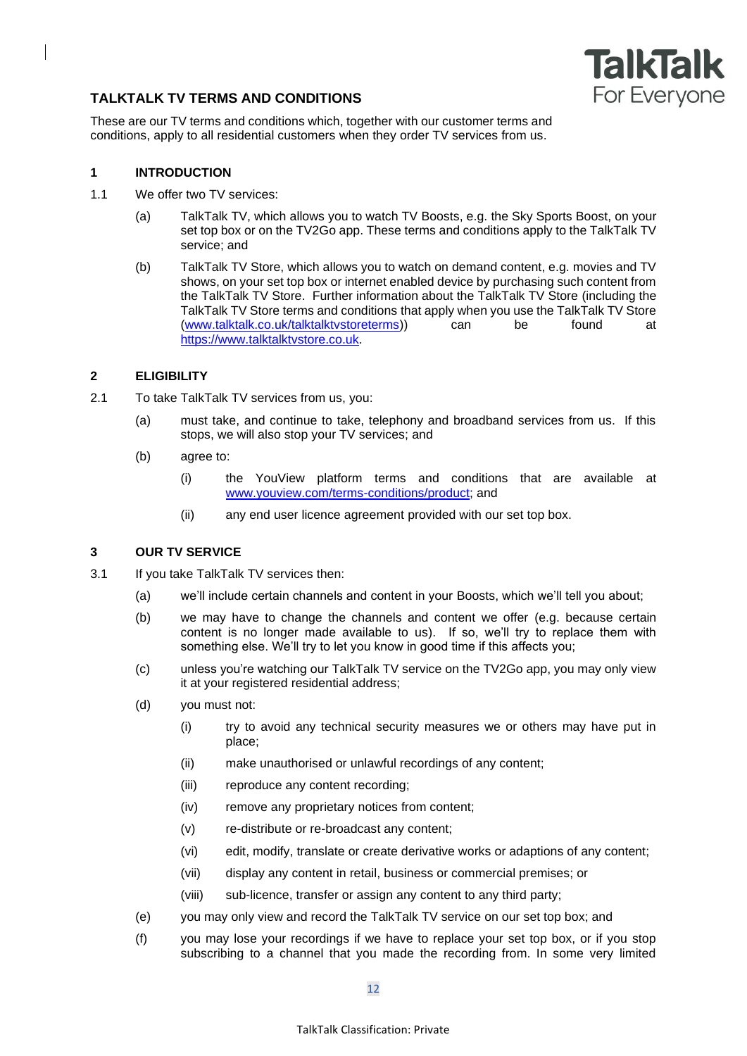

# **TALKTALK TV TERMS AND CONDITIONS**

These are our TV terms and conditions which, together with our customer terms and conditions, apply to all residential customers when they order TV services from us.

## **1 INTRODUCTION**

- 1.1 We offer two TV services:
	- (a) TalkTalk TV, which allows you to watch TV Boosts, e.g. the Sky Sports Boost, on your set top box or on the TV2Go app. These terms and conditions apply to the TalkTalk TV service; and
	- (b) TalkTalk TV Store, which allows you to watch on demand content, e.g. movies and TV shows, on your set top box or internet enabled device by purchasing such content from the TalkTalk TV Store. Further information about the TalkTalk TV Store (including the TalkTalk TV Store terms and conditions that apply when you use the TalkTalk TV Store [\(www.talktalk.co.uk/talktalktvstoreterms\)](http://www.talktalk.co.uk/talktalktvstoreterms)) can be found at [https://www.talktalktvstore.co.uk.](https://www.talktalktvstore.co.uk/)

## **2 ELIGIBILITY**

- 2.1 To take TalkTalk TV services from us, you:
	- (a) must take, and continue to take, telephony and broadband services from us. If this stops, we will also stop your TV services; and
	- (b) agree to:
		- (i) the YouView platform terms and conditions that are available at [www.youview.com/terms-conditions/product;](http://www.youview.com/terms-conditions/product) and
		- (ii) any end user licence agreement provided with our set top box.

## **3 OUR TV SERVICE**

- 3.1 If you take TalkTalk TV services then:
	- (a) we'll include certain channels and content in your Boosts, which we'll tell you about;
	- (b) we may have to change the channels and content we offer (e.g. because certain content is no longer made available to us). If so, we'll try to replace them with something else. We'll try to let you know in good time if this affects you;
	- (c) unless you're watching our TalkTalk TV service on the TV2Go app, you may only view it at your registered residential address;
	- (d) you must not:
		- (i) try to avoid any technical security measures we or others may have put in place;
		- (ii) make unauthorised or unlawful recordings of any content;
		- (iii) reproduce any content recording;
		- (iv) remove any proprietary notices from content;
		- (v) re-distribute or re-broadcast any content;
		- (vi) edit, modify, translate or create derivative works or adaptions of any content;
		- (vii) display any content in retail, business or commercial premises; or
		- (viii) sub-licence, transfer or assign any content to any third party;
	- (e) you may only view and record the TalkTalk TV service on our set top box; and
	- (f) you may lose your recordings if we have to replace your set top box, or if you stop subscribing to a channel that you made the recording from. In some very limited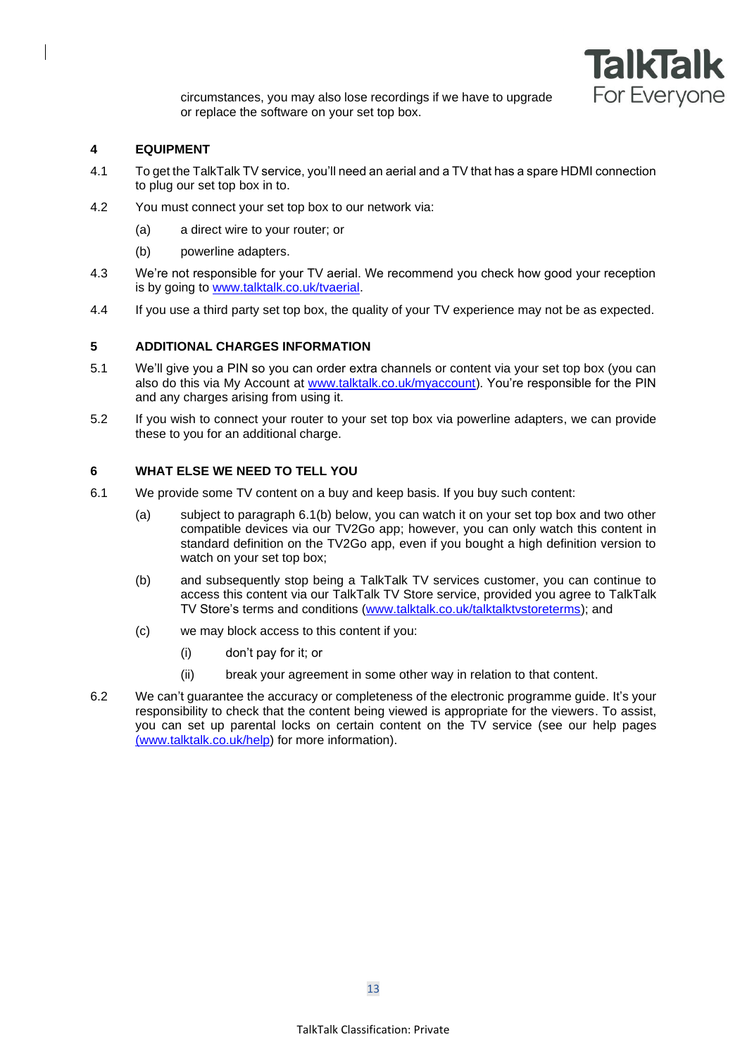

circumstances, you may also lose recordings if we have to upgrade or replace the software on your set top box.

### **4 EQUIPMENT**

- 4.1 To get the TalkTalk TV service, you'll need an aerial and a TV that has a spare HDMI connection to plug our set top box in to.
- 4.2 You must connect your set top box to our network via:
	- (a) a direct wire to your router; or
	- (b) powerline adapters.
- 4.3 We're not responsible for your TV aerial. We recommend you check how good your reception is by going to [www.talktalk.co.uk/tvaerial.](http://www.talktalk.co.uk/tvaerial)
- 4.4 If you use a third party set top box, the quality of your TV experience may not be as expected.

### **5 ADDITIONAL CHARGES INFORMATION**

- 5.1 We'll give you a PIN so you can order extra channels or content via your set top box (you can also do this via My Account at [www.talktalk.co.uk/myaccount\)](http://www.talktalk.co.uk/myaccount). You're responsible for the PIN and any charges arising from using it.
- 5.2 If you wish to connect your router to your set top box via powerline adapters, we can provide these to you for an additional charge.

### **6 WHAT ELSE WE NEED TO TELL YOU**

- <span id="page-12-0"></span>6.1 We provide some TV content on a buy and keep basis. If you buy such content:
	- (a) subject to paragraph [6.1\(b\)](#page-12-0) below, you can watch it on your set top box and two other compatible devices via our TV2Go app; however, you can only watch this content in standard definition on the TV2Go app, even if you bought a high definition version to watch on your set top box;
	- (b) and subsequently stop being a TalkTalk TV services customer, you can continue to access this content via our TalkTalk TV Store service, provided you agree to TalkTalk TV Store's terms and conditions [\(www.talktalk.co.uk/talktalktvstoreterms\)](http://www.talktalk.co.uk/talktalktvstoreterms); and
	- (c) we may block access to this content if you:
		- (i) don't pay for it; or
		- (ii) break your agreement in some other way in relation to that content.
- 6.2 We can't guarantee the accuracy or completeness of the electronic programme guide. It's your responsibility to check that the content being viewed is appropriate for the viewers. To assist, you can set up parental locks on certain content on the TV service (see our help pages [\(www.talktalk.co.uk/help\)](http://www.talktalk.co.uk/help) for more information).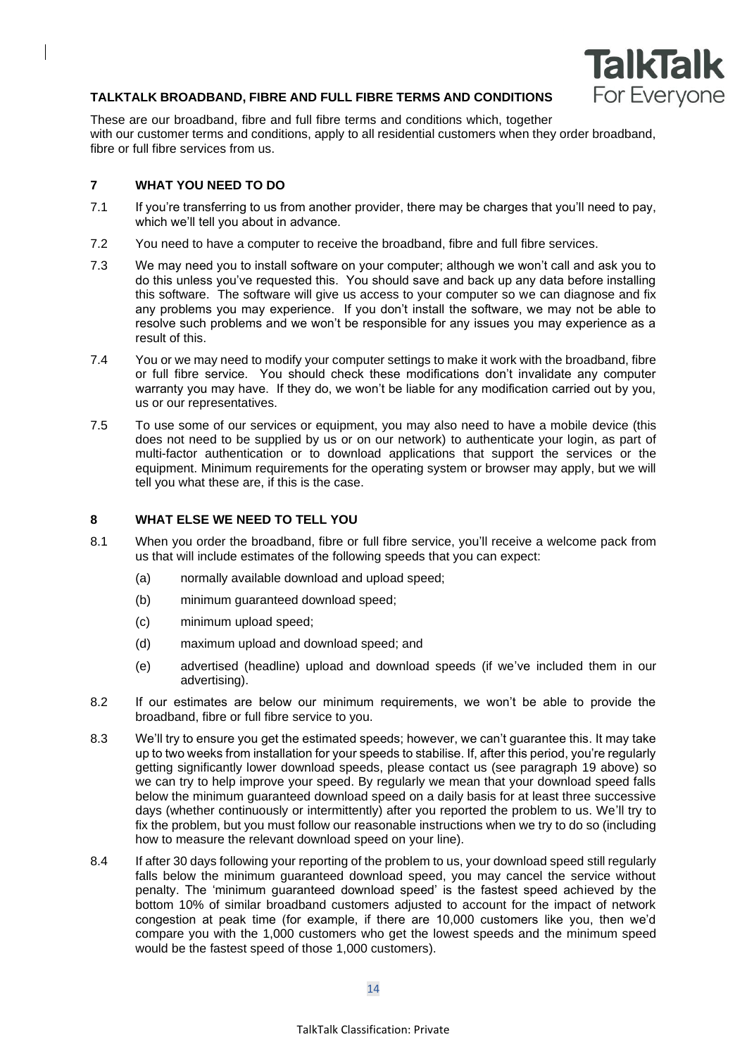

## **TALKTALK BROADBAND, FIBRE AND FULL FIBRE TERMS AND CONDITIONS**

These are our broadband, fibre and full fibre terms and conditions which, together with our customer terms and conditions, apply to all residential customers when they order broadband, fibre or full fibre services from us.

## **7 WHAT YOU NEED TO DO**

- 7.1 If you're transferring to us from another provider, there may be charges that you'll need to pay, which we'll tell you about in advance.
- 7.2 You need to have a computer to receive the broadband, fibre and full fibre services.
- 7.3 We may need you to install software on your computer; although we won't call and ask you to do this unless you've requested this. You should save and back up any data before installing this software. The software will give us access to your computer so we can diagnose and fix any problems you may experience. If you don't install the software, we may not be able to resolve such problems and we won't be responsible for any issues you may experience as a result of this.
- 7.4 You or we may need to modify your computer settings to make it work with the broadband, fibre or full fibre service. You should check these modifications don't invalidate any computer warranty you may have. If they do, we won't be liable for any modification carried out by you, us or our representatives.
- 7.5 To use some of our services or equipment, you may also need to have a mobile device (this does not need to be supplied by us or on our network) to authenticate your login, as part of multi-factor authentication or to download applications that support the services or the equipment. Minimum requirements for the operating system or browser may apply, but we will tell you what these are, if this is the case.

## **8 WHAT ELSE WE NEED TO TELL YOU**

- 8.1 When you order the broadband, fibre or full fibre service, you'll receive a welcome pack from us that will include estimates of the following speeds that you can expect:
	- (a) normally available download and upload speed;
	- (b) minimum guaranteed download speed;
	- (c) minimum upload speed;
	- (d) maximum upload and download speed; and
	- (e) advertised (headline) upload and download speeds (if we've included them in our advertising).
- 8.2 If our estimates are below our minimum requirements, we won't be able to provide the broadband, fibre or full fibre service to you.
- 8.3 We'll try to ensure you get the estimated speeds; however, we can't guarantee this. It may take up to two weeks from installation for your speeds to stabilise. If, after this period, you're regularly getting significantly lower download speeds, please contact us (see paragraph [19](#page-8-2) above) so we can try to help improve your speed. By regularly we mean that your download speed falls below the minimum guaranteed download speed on a daily basis for at least three successive days (whether continuously or intermittently) after you reported the problem to us. We'll try to fix the problem, but you must follow our reasonable instructions when we try to do so (including how to measure the relevant download speed on your line).
- 8.4 If after 30 days following your reporting of the problem to us, your download speed still regularly falls below the minimum guaranteed download speed, you may cancel the service without penalty. The 'minimum guaranteed download speed' is the fastest speed achieved by the bottom 10% of similar broadband customers adjusted to account for the impact of network congestion at peak time (for example, if there are 10,000 customers like you, then we'd compare you with the 1,000 customers who get the lowest speeds and the minimum speed would be the fastest speed of those 1,000 customers).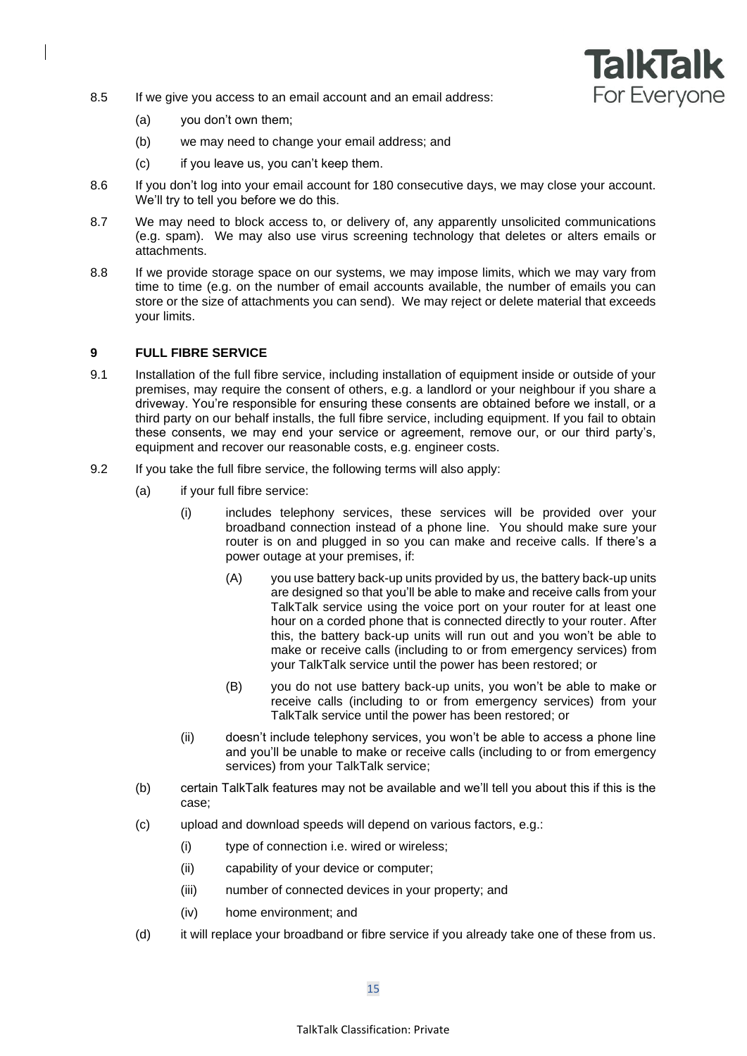

- 8.5 If we give you access to an email account and an email address:
	- (a) you don't own them;
	- (b) we may need to change your email address; and
	- (c) if you leave us, you can't keep them.
- 8.6 If you don't log into your email account for 180 consecutive days, we may close your account. We'll try to tell you before we do this.
- 8.7 We may need to block access to, or delivery of, any apparently unsolicited communications (e.g. spam). We may also use virus screening technology that deletes or alters emails or attachments.
- 8.8 If we provide storage space on our systems, we may impose limits, which we may vary from time to time (e.g. on the number of email accounts available, the number of emails you can store or the size of attachments you can send). We may reject or delete material that exceeds your limits.

#### **9 FULL FIBRE SERVICE**

- 9.1 Installation of the full fibre service, including installation of equipment inside or outside of your premises, may require the consent of others, e.g. a landlord or your neighbour if you share a driveway. You're responsible for ensuring these consents are obtained before we install, or a third party on our behalf installs, the full fibre service, including equipment. If you fail to obtain these consents, we may end your service or agreement, remove our, or our third party's, equipment and recover our reasonable costs, e.g. engineer costs.
- 9.2 If you take the full fibre service, the following terms will also apply:
	- (a) if your full fibre service:
		- (i) includes telephony services, these services will be provided over your broadband connection instead of a phone line. You should make sure your router is on and plugged in so you can make and receive calls. If there's a power outage at your premises, if:
			- (A) you use battery back-up units provided by us, the battery back-up units are designed so that you'll be able to make and receive calls from your TalkTalk service using the voice port on your router for at least one hour on a corded phone that is connected directly to your router. After this, the battery back-up units will run out and you won't be able to make or receive calls (including to or from emergency services) from your TalkTalk service until the power has been restored; or
			- (B) you do not use battery back-up units, you won't be able to make or receive calls (including to or from emergency services) from your TalkTalk service until the power has been restored; or
		- (ii) doesn't include telephony services, you won't be able to access a phone line and you'll be unable to make or receive calls (including to or from emergency services) from your TalkTalk service;
	- (b) certain TalkTalk features may not be available and we'll tell you about this if this is the case;
	- (c) upload and download speeds will depend on various factors, e.g.:
		- (i) type of connection i.e. wired or wireless;
		- (ii) capability of your device or computer;
		- (iii) number of connected devices in your property; and
		- (iv) home environment; and
	- (d) it will replace your broadband or fibre service if you already take one of these from us.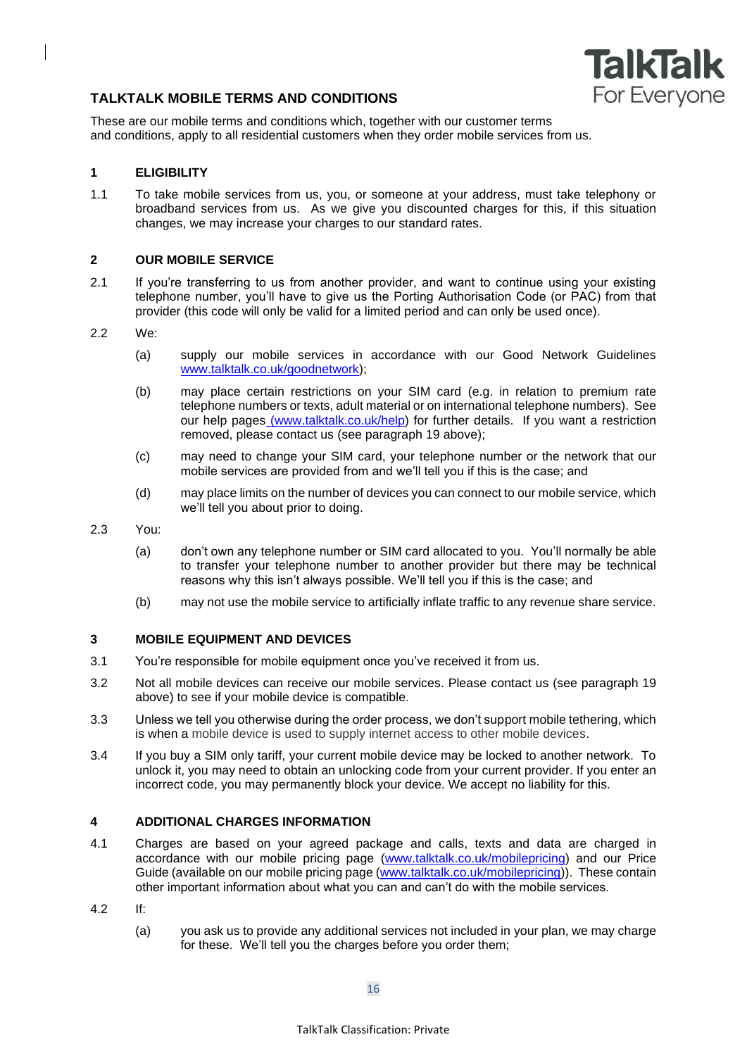

# **TALKTALK MOBILE TERMS AND CONDITIONS**

These are our mobile terms and conditions which, together with our customer terms and conditions, apply to all residential customers when they order mobile services from us.

# **1 ELIGIBILITY**

1.1 To take mobile services from us, you, or someone at your address, must take telephony or broadband services from us. As we give you discounted charges for this, if this situation changes, we may increase your charges to our standard rates.

### **2 OUR MOBILE SERVICE**

- 2.1 If you're transferring to us from another provider, and want to continue using your existing telephone number, you'll have to give us the Porting Authorisation Code (or PAC) from that provider (this code will only be valid for a limited period and can only be used once).
- 2.2 We:
	- (a) supply our mobile services in accordance with our Good Network Guidelines www.talktalk.co.uk/goodnetwork);
	- (b) may place certain restrictions on your SIM card (e.g. in relation to premium rate telephone numbers or texts, adult material or on international telephone numbers). See our help pages [\(www.talktalk.co.uk/help\)](http://www.talktalk.co.uk/help) for further details. If you want a restriction removed, please contact us (see paragraph 19 above);
	- (c) may need to change your SIM card, your telephone number or the network that our mobile services are provided from and we'll tell you if this is the case; and
	- (d) may place limits on the number of devices you can connect to our mobile service, which we'll tell you about prior to doing.
- 2.3 You:
	- (a) don't own any telephone number or SIM card allocated to you. You'll normally be able to transfer your telephone number to another provider but there may be technical reasons why this isn't always possible. We'll tell you if this is the case; and
	- (b) may not use the mobile service to artificially inflate traffic to any revenue share service.

### **3 MOBILE EQUIPMENT AND DEVICES**

- 3.1 You're responsible for mobile equipment once you've received it from us.
- 3.2 Not all mobile devices can receive our mobile services. Please contact us (see paragraph 19 above) to see if your mobile device is compatible.
- 3.3 Unless we tell you otherwise during the order process, we don't support mobile tethering, which is when a mobile device is used to supply internet access to other mobile devices.
- 3.4 If you buy a SIM only tariff, your current mobile device may be locked to another network. To unlock it, you may need to obtain an unlocking code from your current provider. If you enter an incorrect code, you may permanently block your device. We accept no liability for this.

## **4 ADDITIONAL CHARGES INFORMATION**

- 4.1 Charges are based on your agreed package and calls, texts and data are charged in accordance with our mobile pricing page [\(www.talktalk.co.uk/mobilepricing\)](http://www.talktalk.co.uk/mobilepricing) and our Price Guide (available on our mobile pricing page [\(www.talktalk.co.uk/mobilepricing\)](http://www.talktalk.co.uk/mobilepricing)). These contain other important information about what you can and can't do with the mobile services.
- 4.2 If:
	- (a) you ask us to provide any additional services not included in your plan, we may charge for these. We'll tell you the charges before you order them;